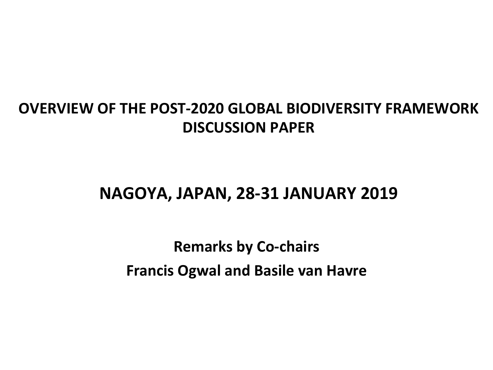#### **OVERVIEW OF THE POST-2020 GLOBAL BIODIVERSITY FRAMEWORK DISCUSSION PAPER**

### **NAGOYA, JAPAN, 28-31 JANUARY 2019**

### **Remarks by Co-chairs Francis Ogwal and Basile van Havre**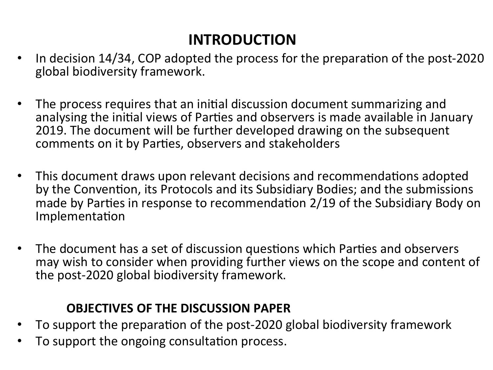### **INTRODUCTION**

- In decision 14/34, COP adopted the process for the preparation of the post-2020 global biodiversity framework.
- The process requires that an initial discussion document summarizing and analysing the initial views of Parties and observers is made available in January 2019. The document will be further developed drawing on the subsequent comments on it by Parties, observers and stakeholders
- This document draws upon relevant decisions and recommendations adopted by the Convention, its Protocols and its Subsidiary Bodies; and the submissions made by Parties in response to recommendation 2/19 of the Subsidiary Body on Implementation
- The document has a set of discussion questions which Parties and observers may wish to consider when providing further views on the scope and content of the post-2020 global biodiversity framework.

#### **OBJECTIVES OF THE DISCUSSION PAPER**

- To support the preparation of the post-2020 global biodiversity framework
- To support the ongoing consultation process.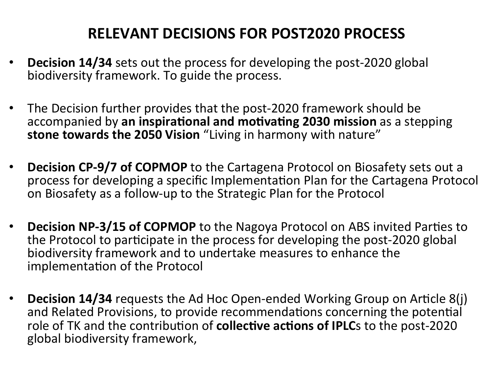### **RELEVANT DECISIONS FOR POST2020 PROCESS**

- **Decision 14/34** sets out the process for developing the post-2020 global biodiversity framework. To guide the process.
- The Decision further provides that the post-2020 framework should be accompanied by an inspirational and motivating 2030 mission as a stepping **stone towards the 2050 Vision** "Living in harmony with nature"
- **Decision CP-9/7 of COPMOP** to the Cartagena Protocol on Biosafety sets out a process for developing a specific Implementation Plan for the Cartagena Protocol on Biosafety as a follow-up to the Strategic Plan for the Protocol
- **Decision NP-3/15 of COPMOP** to the Nagoya Protocol on ABS invited Parties to the Protocol to participate in the process for developing the post-2020 global biodiversity framework and to undertake measures to enhance the implementation of the Protocol
- **Decision 14/34** requests the Ad Hoc Open-ended Working Group on Article 8(j) and Related Provisions, to provide recommendations concerning the potential role of TK and the contribution of **collective actions of IPLC**s to the post-2020 global biodiversity framework,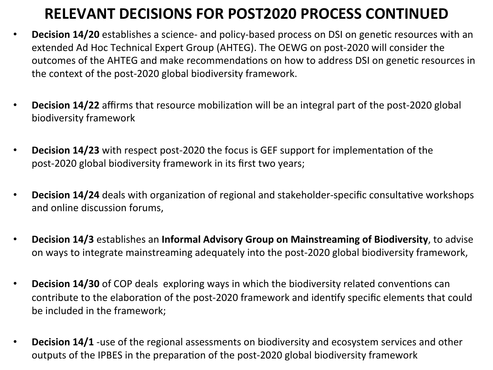### **RELEVANT DECISIONS FOR POST2020 PROCESS CONTINUED**

- Decision 14/20 establishes a science- and policy-based process on DSI on genetic resources with an extended Ad Hoc Technical Expert Group (AHTEG). The OEWG on post-2020 will consider the outcomes of the AHTEG and make recommendations on how to address DSI on genetic resources in the context of the post-2020 global biodiversity framework.
- **Decision 14/22** affirms that resource mobilization will be an integral part of the post-2020 global biodiversity framework
- **Decision 14/23** with respect post-2020 the focus is GEF support for implementation of the post-2020 global biodiversity framework in its first two years;
- **Decision 14/24** deals with organization of regional and stakeholder-specific consultative workshops and online discussion forums,
- Decision 14/3 establishes an Informal Advisory Group on Mainstreaming of Biodiversity, to advise on ways to integrate mainstreaming adequately into the post-2020 global biodiversity framework,
- **Decision 14/30** of COP deals exploring ways in which the biodiversity related conventions can contribute to the elaboration of the post-2020 framework and identify specific elements that could be included in the framework;
- Decision 14/1 -use of the regional assessments on biodiversity and ecosystem services and other outputs of the IPBES in the preparation of the post-2020 global biodiversity framework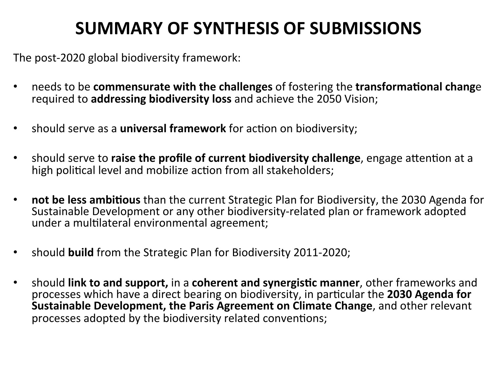### **SUMMARY OF SYNTHESIS OF SUBMISSIONS**

The post-2020 global biodiversity framework:

- needs to be **commensurate with the challenges** of fostering the **transformational change** required to **addressing biodiversity loss** and achieve the 2050 Vision;
- should serve as a **universal framework** for action on biodiversity;
- should serve to raise the profile of current biodiversity challenge, engage attention at a high political level and mobilize action from all stakeholders;
- **not be less ambitious** than the current Strategic Plan for Biodiversity, the 2030 Agenda for Sustainable Development or any other biodiversity-related plan or framework adopted under a multilateral environmental agreement;
- should **build** from the Strategic Plan for Biodiversity 2011-2020;
- should **link to and support,** in a **coherent and synergistic manner**, other frameworks and processes which have a direct bearing on biodiversity, in particular the **2030 Agenda for Sustainable Development, the Paris Agreement on Climate Change, and other relevant** processes adopted by the biodiversity related conventions;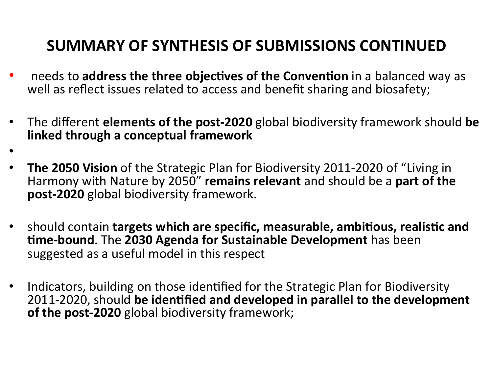### **SUMMARY OF SYNTHESIS OF SUBMISSIONS CONTINUED**

- needs to **address the three objectives of the Convention** in a balanced way as well as reflect issues related to access and benefit sharing and biosafety;
- The different **elements of the post-2020** global biodiversity framework should **be linked through a conceptual framework**
- **The 2050 Vision** of the Strategic Plan for Biodiversity 2011-2020 of "Living in Harmony with Nature by 2050" remains relevant and should be a part of the **post-2020** global biodiversity framework.

•

- should contain **targets which are specific, measurable, ambitious, realistic and time-bound**. The 2030 Agenda for Sustainable Development has been suggested as a useful model in this respect
- Indicators, building on those identified for the Strategic Plan for Biodiversity 2011-2020, should be identified and developed in parallel to the development **of the post-2020** global biodiversity framework;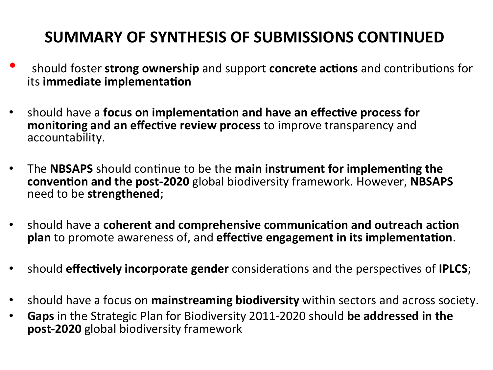### **SUMMARY OF SYNTHESIS OF SUBMISSIONS CONTINUED**

- should foster **strong ownership** and support **concrete actions** and contributions for its **immediate implementation**
- should have a **focus on implementation and have an effective process for** monitoring and an effective review process to improve transparency and accountability.
- The **NBSAPS** should continue to be the main instrument for implementing the **convention and the post-2020** global biodiversity framework. However, NBSAPS need to be **strengthened**;
- should have a **coherent and comprehensive communication and outreach action plan** to promote awareness of, and **effective engagement in its implementation**.
- should **effectively incorporate gender** considerations and the perspectives of **IPLCS**;
- should have a focus on mainstreaming biodiversity within sectors and across society.
- **Gaps** in the Strategic Plan for Biodiversity 2011-2020 should be addressed in the **post-2020** global biodiversity framework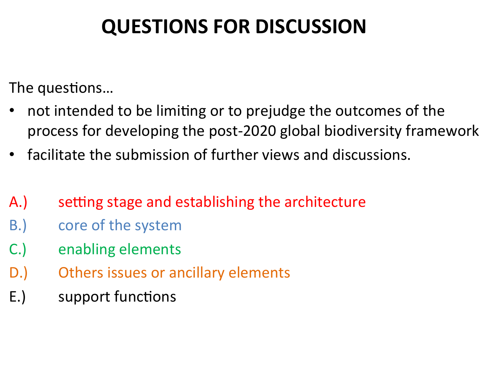# **QUESTIONS FOR DISCUSSION**

The questions...

- not intended to be limiting or to prejudge the outcomes of the process for developing the post-2020 global biodiversity framework
- facilitate the submission of further views and discussions.
- A.) setting stage and establishing the architecture
- B.) core of the system
- C.) enabling elements
- D.) Others issues or ancillary elements
- E.) support functions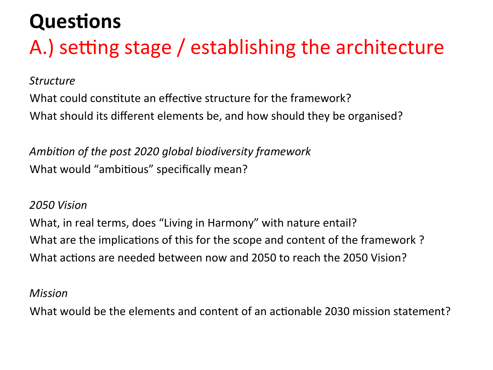# **Questions** A.) setting stage / establishing the architecture

*Structure*

What could constitute an effective structure for the framework? What should its different elements be, and how should they be organised?

Ambition of the post 2020 global biodiversity framework What would "ambitious" specifically mean?

#### *2050 Vision*

What, in real terms, does "Living in Harmony" with nature entail? What are the implications of this for the scope and content of the framework? What actions are needed between now and 2050 to reach the 2050 Vision?

#### *Mission*

What would be the elements and content of an actionable 2030 mission statement?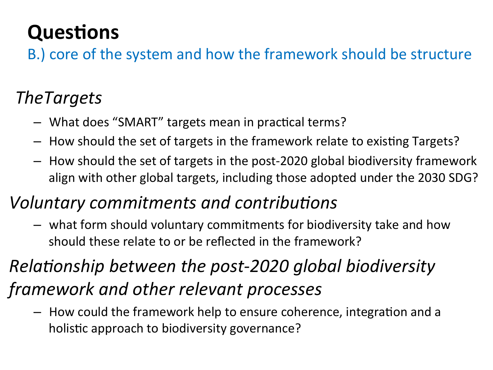B.) core of the system and how the framework should be structure

### *TheTargets*

- What does "SMART" targets mean in practical terms?
- $-$  How should the set of targets in the framework relate to existing Targets?
- $-$  How should the set of targets in the post-2020 global biodiversity framework align with other global targets, including those adopted under the 2030 SDG?

### *Voluntary commitments and contributions*

 $-$  what form should voluntary commitments for biodiversity take and how should these relate to or be reflected in the framework?

# *Relationship between the post-2020 global biodiversity framework and other relevant processes*

 $-$  How could the framework help to ensure coherence, integration and a holistic approach to biodiversity governance?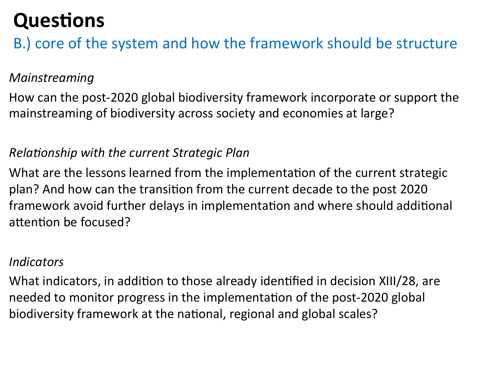B.) core of the system and how the framework should be structure

#### *Mainstreaming*

How can the post-2020 global biodiversity framework incorporate or support the mainstreaming of biodiversity across society and economies at large?

#### *Relationship with the current Strategic Plan*

What are the lessons learned from the implementation of the current strategic plan? And how can the transition from the current decade to the post 2020 framework avoid further delays in implementation and where should additional attention be focused?

#### *Indicators*

What indicators, in addition to those already identified in decision XIII/28, are needed to monitor progress in the implementation of the post-2020 global biodiversity framework at the national, regional and global scales?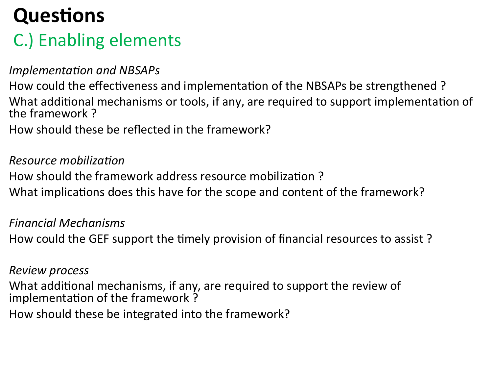## C.) Enabling elements

#### *Implementation and NBSAPs*

How could the effectiveness and implementation of the NBSAPs be strengthened ? What additional mechanisms or tools, if any, are required to support implementation of the framework?

How should these be reflected in the framework?

#### *Resource mobilization*

How should the framework address resource mobilization?

What implications does this have for the scope and content of the framework?

*Financial Mechanisms* How could the GEF support the timely provision of financial resources to assist?

#### *Review process*

What additional mechanisms, if any, are required to support the review of implementation of the framework?

How should these be integrated into the framework?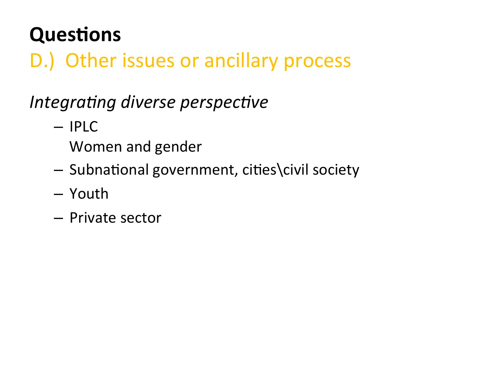# D.) Other issues or ancillary process

# *Integrating diverse perspective*

- IPLC
	- Women and gender
- $-$  Subnational government, cities\civil society
- Youth
- Private sector